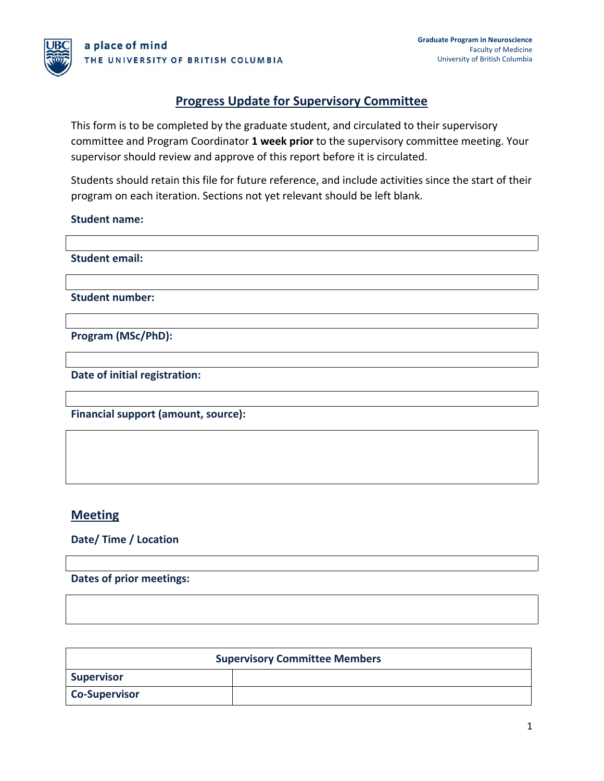### **Progress Update for Supervisory Committee**

This form is to be completed by the graduate student, and circulated to their supervisory committee and Program Coordinator **1 week prior** to the supervisory committee meeting. Your supervisor should review and approve of this report before it is circulated.

Students should retain this file for future reference, and include activities since the start of their program on each iteration. Sections not yet relevant should be left blank.

#### **Student name:**

**Student email:**

**Student number:**

**Program (MSc/PhD):**

**Date of initial registration:**

**Financial support (amount, source):**

### **Meeting**

**Date/ Time / Location**

**Dates of prior meetings:**

| <b>Supervisory Committee Members</b> |  |
|--------------------------------------|--|
| <b>Supervisor</b>                    |  |
| <b>Co-Supervisor</b>                 |  |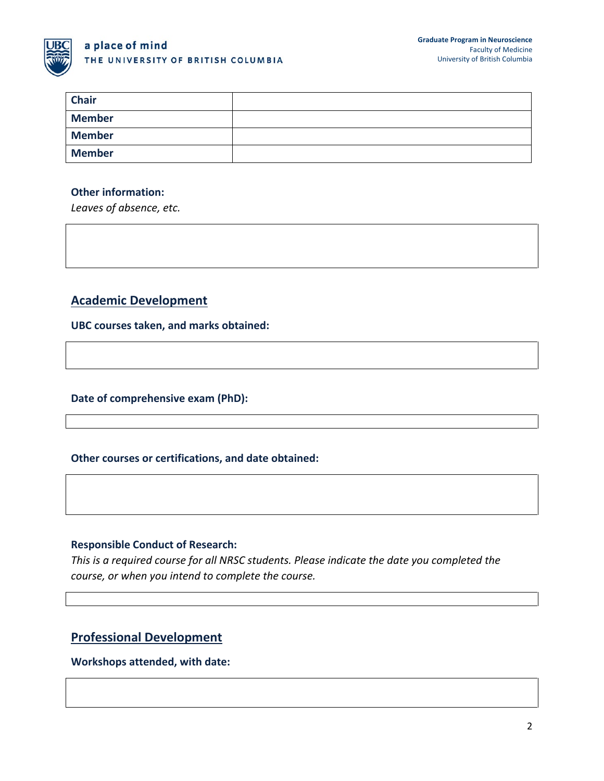

### a place of mind THE UNIVERSITY OF BRITISH COLUMBIA

| <b>Chair</b>  |  |
|---------------|--|
| <b>Member</b> |  |
| <b>Member</b> |  |
| <b>Member</b> |  |

#### **Other information:**

*Leaves of absence, etc.*

## **Academic Development**

**UBC courses taken, and marks obtained:**

**Date of comprehensive exam (PhD):**

#### **Other courses or certifications, and date obtained:**

#### **Responsible Conduct of Research:**

*This is a required course for all NRSC students. Please indicate the date you completed the course, or when you intend to complete the course.*

# **Professional Development**

#### **Workshops attended, with date:**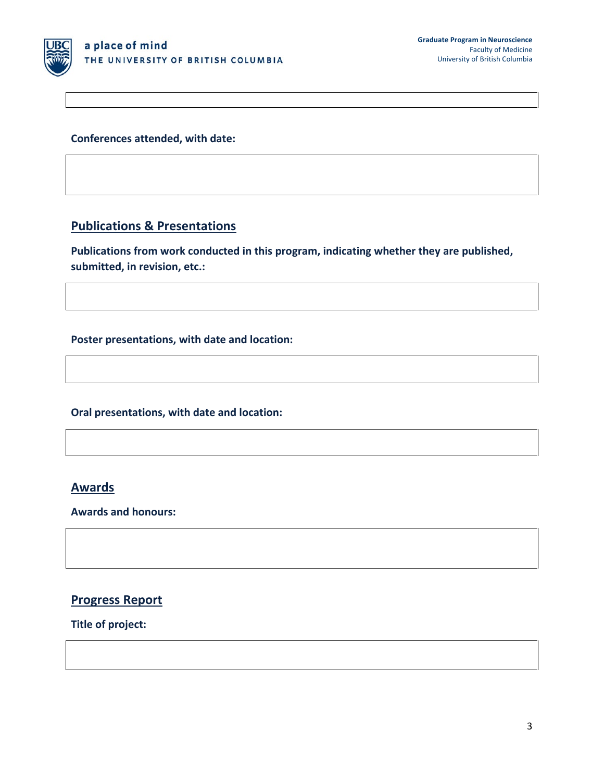

**Conferences attended, with date:**

## **Publications & Presentations**

**Publications from work conducted in this program, indicating whether they are published, submitted, in revision, etc.:** 

**Poster presentations, with date and location:**

**Oral presentations, with date and location:**

# **Awards**

**Awards and honours:**

### **Progress Report**

**Title of project:**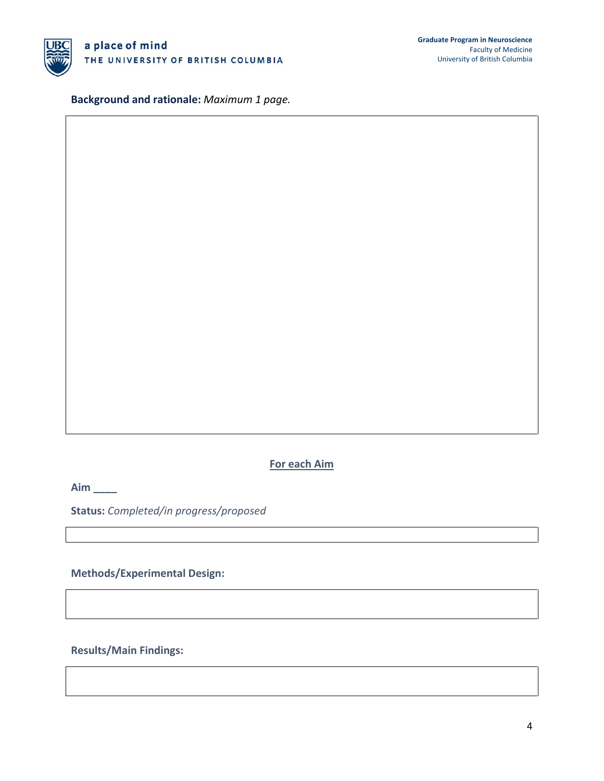

**Background and rationale:** *Maximum 1 page.*

### **For each Aim**

**Aim \_\_\_\_**

**Status:** *Completed/in progress/proposed*

**Methods/Experimental Design:**

**Results/Main Findings:**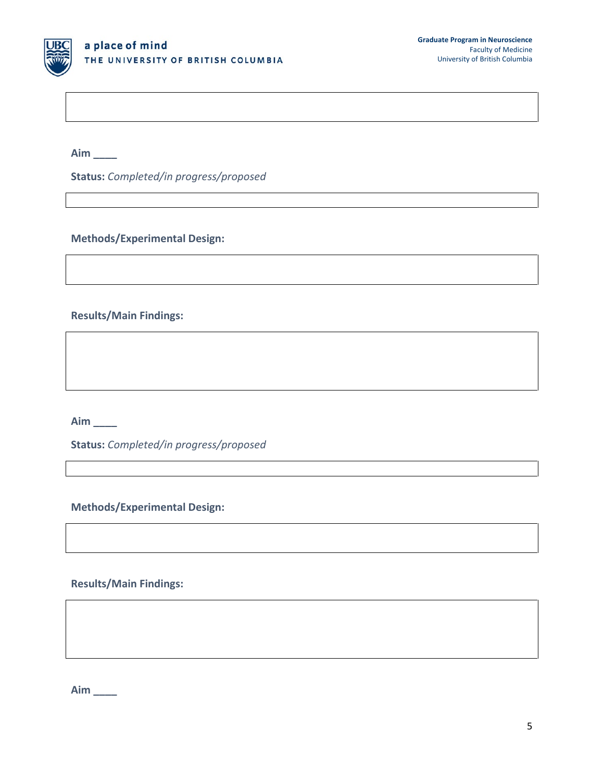

**Aim \_\_\_\_**

**Status:** *Completed/in progress/proposed*

**Methods/Experimental Design:**

**Results/Main Findings:** 

**Aim \_\_\_\_**

**Status:** *Completed/in progress/proposed*

**Methods/Experimental Design:**

**Results/Main Findings:** 

**Aim \_\_\_\_**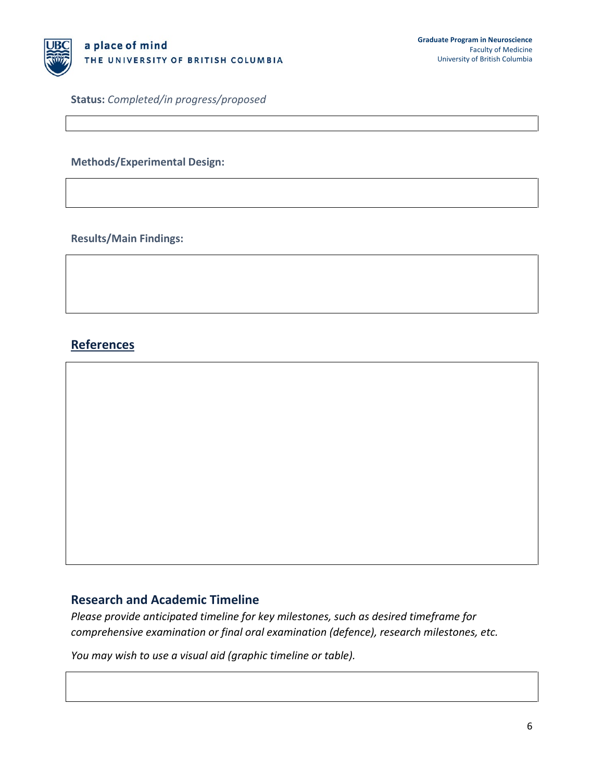

**Status:** *Completed/in progress/proposed*

#### **Methods/Experimental Design:**

**Results/Main Findings:** 

# **References**

#### **Research and Academic Timeline**

*Please provide anticipated timeline for key milestones, such as desired timeframe for comprehensive examination or final oral examination (defence), research milestones, etc.*

*You may wish to use a visual aid (graphic timeline or table).*